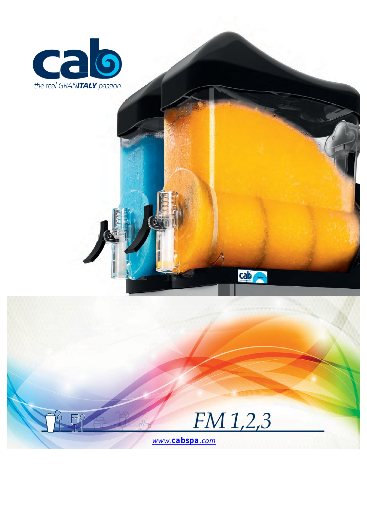



**cab**